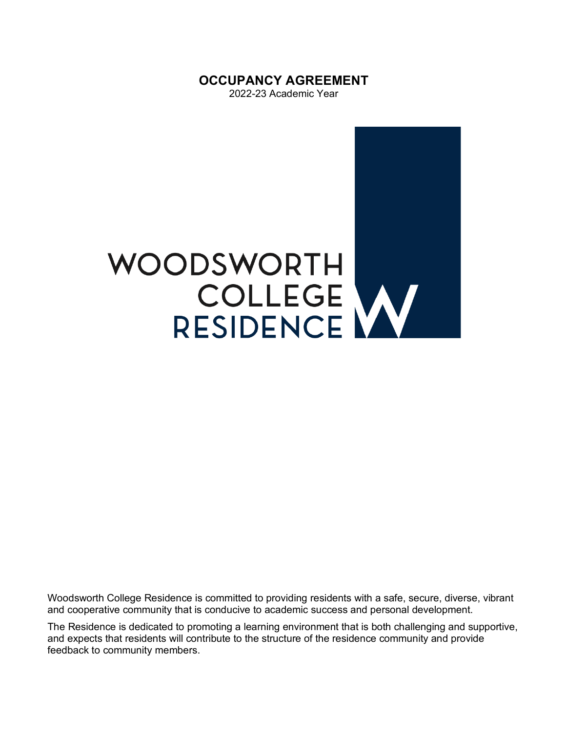**OCCUPANCY AGREEMENT** 

2022-23 Academic Year



Woodsworth College Residence is committed to providing residents with a safe, secure, diverse, vibrant and cooperative community that is conducive to academic success and personal development.

The Residence is dedicated to promoting a learning environment that is both challenging and supportive, and expects that residents will contribute to the structure of the residence community and provide feedback to community members.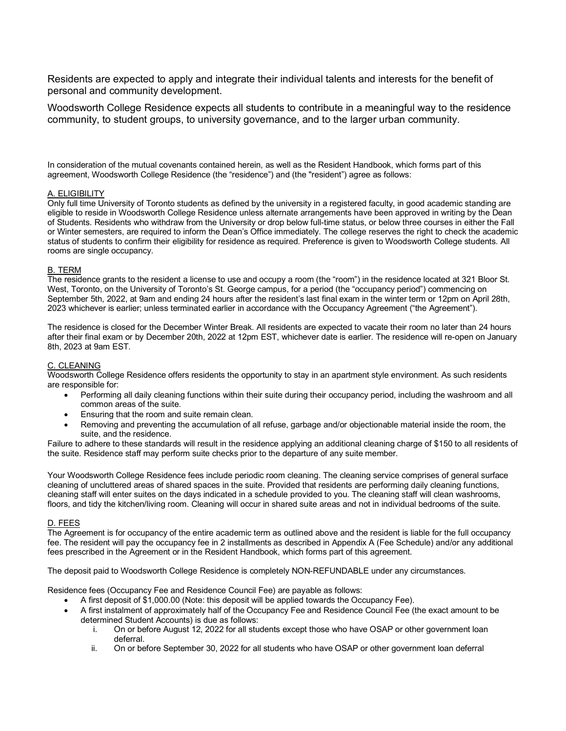Residents are expected to apply and integrate their individual talents and interests for the benefit of personal and community development.

Woodsworth College Residence expects all students to contribute in a meaningful way to the residence community, to student groups, to university governance, and to the larger urban community.

In consideration of the mutual covenants contained herein, as well as the Resident Handbook, which forms part of this agreement, Woodsworth College Residence (the "residence") and (the "resident") agree as follows:

## A. ELIGIBILITY

Only full time University of Toronto students as defined by the university in a registered faculty, in good academic standing are eligible to reside in Woodsworth College Residence unless alternate arrangements have been approved in writing by the Dean of Students. Residents who withdraw from the University or drop below full-time status, or below three courses in either the Fall or Winter semesters, are required to inform the Dean's Office immediately. The college reserves the right to check the academic status of students to confirm their eligibility for residence as required. Preference is given to Woodsworth College students. All rooms are single occupancy.

#### B. TERM

The residence grants to the resident a license to use and occupy a room (the "room") in the residence located at 321 Bloor St. West, Toronto, on the University of Toronto's St. George campus, for a period (the "occupancy period") commencing on September 5th, 2022, at 9am and ending 24 hours after the resident's last final exam in the winter term or 12pm on April 28th, 2023 whichever is earlier; unless terminated earlier in accordance with the Occupancy Agreement ("the Agreement").

The residence is closed for the December Winter Break. All residents are expected to vacate their room no later than 24 hours after their final exam or by December 20th, 2022 at 12pm EST, whichever date is earlier. The residence will re-open on January 8th, 2023 at 9am EST.

## C. CLEANING

Woodsworth College Residence offers residents the opportunity to stay in an apartment style environment. As such residents are responsible for:

- Performing all daily cleaning functions within their suite during their occupancy period, including the washroom and all common areas of the suite.
- Ensuring that the room and suite remain clean.
- Removing and preventing the accumulation of all refuse, garbage and/or objectionable material inside the room, the suite, and the residence.

Failure to adhere to these standards will result in the residence applying an additional cleaning charge of \$150 to all residents of the suite. Residence staff may perform suite checks prior to the departure of any suite member.

Your Woodsworth College Residence fees include periodic room cleaning. The cleaning service comprises of general surface cleaning of uncluttered areas of shared spaces in the suite. Provided that residents are performing daily cleaning functions, cleaning staff will enter suites on the days indicated in a schedule provided to you. The cleaning staff will clean washrooms, floors, and tidy the kitchen/living room. Cleaning will occur in shared suite areas and not in individual bedrooms of the suite.

#### D. FEES

The Agreement is for occupancy of the entire academic term as outlined above and the resident is liable for the full occupancy fee. The resident will pay the occupancy fee in 2 installments as described in Appendix A (Fee Schedule) and/or any additional fees prescribed in the Agreement or in the Resident Handbook, which forms part of this agreement.

The deposit paid to Woodsworth College Residence is completely NON-REFUNDABLE under any circumstances.

Residence fees (Occupancy Fee and Residence Council Fee) are payable as follows:

- A first deposit of \$1,000.00 (Note: this deposit will be applied towards the Occupancy Fee).
- A first instalment of approximately half of the Occupancy Fee and Residence Council Fee (the exact amount to be determined Student Accounts) is due as follows:
	- i. On or before August 12, 2022 for all students except those who have OSAP or other government loan deferral.
	- ii. On or before September 30, 2022 for all students who have OSAP or other government loan deferral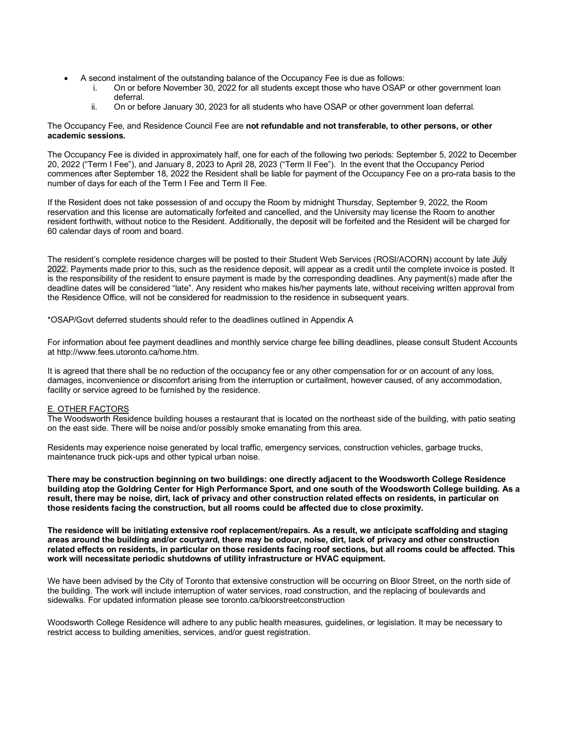- A second instalment of the outstanding balance of the Occupancy Fee is due as follows:
	- i. On or before November 30, 2022 for all students except those who have OSAP or other government loan deferral.
	- ii. On or before January 30, 2023 for all students who have OSAP or other government loan deferral.

## The Occupancy Fee, and Residence Council Fee are **not refundable and not transferable, to other persons, or other academic sessions.**

The Occupancy Fee is divided in approximately half, one for each of the following two periods: September 5, 2022 to December 20, 2022 ("Term I Fee"), and January 8, 2023 to April 28, 2023 ("Term II Fee"). In the event that the Occupancy Period commences after September 18, 2022 the Resident shall be liable for payment of the Occupancy Fee on a pro-rata basis to the number of days for each of the Term I Fee and Term II Fee.

If the Resident does not take possession of and occupy the Room by midnight Thursday, September 9, 2022, the Room reservation and this license are automatically forfeited and cancelled, and the University may license the Room to another resident forthwith, without notice to the Resident. Additionally, the deposit will be forfeited and the Resident will be charged for 60 calendar days of room and board.

The resident's complete residence charges will be posted to their Student Web Services (ROSI/ACORN) account by late July 2022. Payments made prior to this, such as the residence deposit, will appear as a credit until the complete invoice is posted. It is the responsibility of the resident to ensure payment is made by the corresponding deadlines. Any payment(s) made after the deadline dates will be considered "late". Any resident who makes his/her payments late, without receiving written approval from the Residence Office, will not be considered for readmission to the residence in subsequent years.

\*OSAP/Govt deferred students should refer to the deadlines outlined in Appendix A

For information about fee payment deadlines and monthly service charge fee billing deadlines, please consult Student Accounts at http://www.fees.utoronto.ca/home.htm.

It is agreed that there shall be no reduction of the occupancy fee or any other compensation for or on account of any loss, damages, inconvenience or discomfort arising from the interruption or curtailment, however caused, of any accommodation, facility or service agreed to be furnished by the residence.

# E. OTHER FACTORS

The Woodsworth Residence building houses a restaurant that is located on the northeast side of the building, with patio seating on the east side. There will be noise and/or possibly smoke emanating from this area.

Residents may experience noise generated by local traffic, emergency services, construction vehicles, garbage trucks, maintenance truck pick-ups and other typical urban noise.

**There may be construction beginning on two buildings: one directly adjacent to the Woodsworth College Residence building atop the Goldring Center for High Performance Sport, and one south of the Woodsworth College building. As a result, there may be noise, dirt, lack of privacy and other construction related effects on residents, in particular on those residents facing the construction, but all rooms could be affected due to close proximity.**

**The residence will be initiating extensive roof replacement/repairs. As a result, we anticipate scaffolding and staging areas around the building and/or courtyard, there may be odour, noise, dirt, lack of privacy and other construction related effects on residents, in particular on those residents facing roof sections, but all rooms could be affected. This work will necessitate periodic shutdowns of utility infrastructure or HVAC equipment.**

We have been advised by the City of Toronto that extensive construction will be occurring on Bloor Street, on the north side of the building. The work will include interruption of water services, road construction, and the replacing of boulevards and sidewalks. For updated information please see toronto.ca/bloorstreetconstruction

Woodsworth College Residence will adhere to any public health measures, guidelines, or legislation. It may be necessary to restrict access to building amenities, services, and/or guest registration.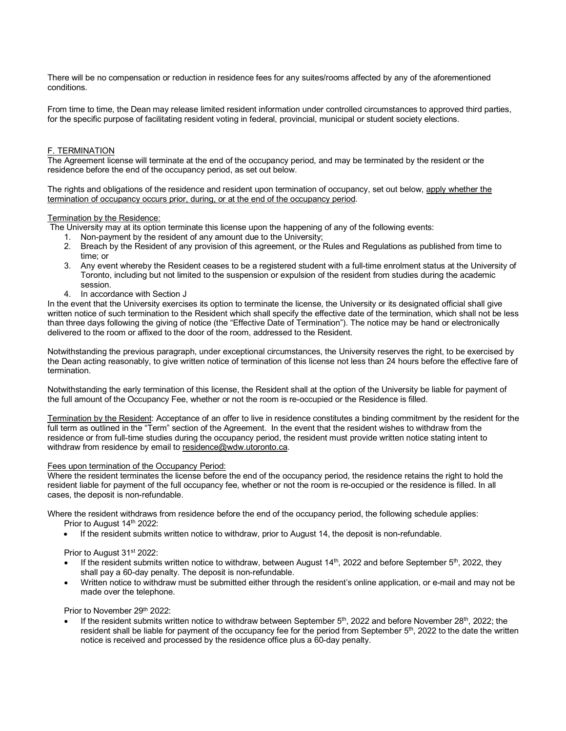There will be no compensation or reduction in residence fees for any suites/rooms affected by any of the aforementioned conditions.

From time to time, the Dean may release limited resident information under controlled circumstances to approved third parties, for the specific purpose of facilitating resident voting in federal, provincial, municipal or student society elections.

## F. TERMINATION

The Agreement license will terminate at the end of the occupancy period, and may be terminated by the resident or the residence before the end of the occupancy period, as set out below.

The rights and obligations of the residence and resident upon termination of occupancy, set out below, apply whether the termination of occupancy occurs prior, during, or at the end of the occupancy period.

## Termination by the Residence:

The University may at its option terminate this license upon the happening of any of the following events:

- 1. Non-payment by the resident of any amount due to the University;
- 2. Breach by the Resident of any provision of this agreement, or the Rules and Regulations as published from time to time; or
- 3. Any event whereby the Resident ceases to be a registered student with a full-time enrolment status at the University of Toronto, including but not limited to the suspension or expulsion of the resident from studies during the academic session.
- 4. In accordance with Section J

In the event that the University exercises its option to terminate the license, the University or its designated official shall give written notice of such termination to the Resident which shall specify the effective date of the termination, which shall not be less than three days following the giving of notice (the "Effective Date of Termination"). The notice may be hand or electronically delivered to the room or affixed to the door of the room, addressed to the Resident.

Notwithstanding the previous paragraph, under exceptional circumstances, the University reserves the right, to be exercised by the Dean acting reasonably, to give written notice of termination of this license not less than 24 hours before the effective fare of termination.

Notwithstanding the early termination of this license, the Resident shall at the option of the University be liable for payment of the full amount of the Occupancy Fee, whether or not the room is re-occupied or the Residence is filled.

Termination by the Resident: Acceptance of an offer to live in residence constitutes a binding commitment by the resident for the full term as outlined in the "Term" section of the Agreement. In the event that the resident wishes to withdraw from the residence or from full-time studies during the occupancy period, the resident must provide written notice stating intent to withdraw from residence by email to residence@wdw.utoronto.ca.

## Fees upon termination of the Occupancy Period:

Where the resident terminates the license before the end of the occupancy period, the residence retains the right to hold the resident liable for payment of the full occupancy fee, whether or not the room is re-occupied or the residence is filled. In all cases, the deposit is non-refundable.

Where the resident withdraws from residence before the end of the occupancy period, the following schedule applies:

- Prior to August 14<sup>th</sup> 2022:
- If the resident submits written notice to withdraw, prior to August 14, the deposit is non-refundable.

Prior to August 31<sup>st</sup> 2022:

- If the resident submits written notice to withdraw, between August  $14<sup>th</sup>$ , 2022 and before September  $5<sup>th</sup>$ , 2022, they shall pay a 60-day penalty. The deposit is non-refundable.
- Written notice to withdraw must be submitted either through the resident's online application, or e-mail and may not be made over the telephone.

Prior to November 29th 2022:

If the resident submits written notice to withdraw between September  $5<sup>th</sup>$ , 2022 and before November  $28<sup>th</sup>$ , 2022; the resident shall be liable for payment of the occupancy fee for the period from September  $5<sup>th</sup>$ , 2022 to the date the written notice is received and processed by the residence office plus a 60-day penalty.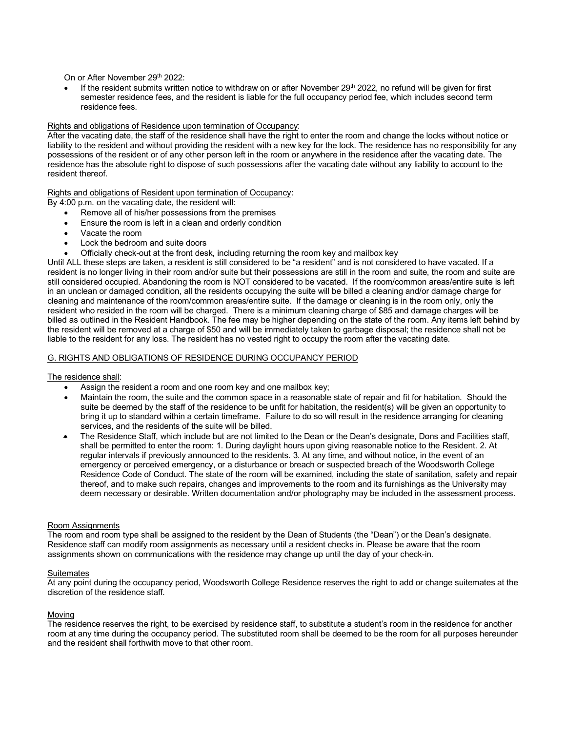On or After November 29th 2022:

If the resident submits written notice to withdraw on or after November 29th 2022, no refund will be given for first semester residence fees, and the resident is liable for the full occupancy period fee, which includes second term residence fees.

# Rights and obligations of Residence upon termination of Occupancy:

After the vacating date, the staff of the residence shall have the right to enter the room and change the locks without notice or liability to the resident and without providing the resident with a new key for the lock. The residence has no responsibility for any possessions of the resident or of any other person left in the room or anywhere in the residence after the vacating date. The residence has the absolute right to dispose of such possessions after the vacating date without any liability to account to the resident thereof.

# Rights and obligations of Resident upon termination of Occupancy:

By 4:00 p.m. on the vacating date, the resident will:

- Remove all of his/her possessions from the premises
- Ensure the room is left in a clean and orderly condition
- Vacate the room
- Lock the bedroom and suite doors
- Officially check-out at the front desk, including returning the room key and mailbox key

Until ALL these steps are taken, a resident is still considered to be "a resident" and is not considered to have vacated. If a resident is no longer living in their room and/or suite but their possessions are still in the room and suite, the room and suite are still considered occupied. Abandoning the room is NOT considered to be vacated. If the room/common areas/entire suite is left in an unclean or damaged condition, all the residents occupying the suite will be billed a cleaning and/or damage charge for cleaning and maintenance of the room/common areas/entire suite. If the damage or cleaning is in the room only, only the resident who resided in the room will be charged. There is a minimum cleaning charge of \$85 and damage charges will be billed as outlined in the Resident Handbook. The fee may be higher depending on the state of the room. Any items left behind by the resident will be removed at a charge of \$50 and will be immediately taken to garbage disposal; the residence shall not be liable to the resident for any loss. The resident has no vested right to occupy the room after the vacating date.

## G. RIGHTS AND OBLIGATIONS OF RESIDENCE DURING OCCUPANCY PERIOD

#### The residence shall:

- Assign the resident a room and one room key and one mailbox key:
- Maintain the room, the suite and the common space in a reasonable state of repair and fit for habitation. Should the suite be deemed by the staff of the residence to be unfit for habitation, the resident(s) will be given an opportunity to bring it up to standard within a certain timeframe. Failure to do so will result in the residence arranging for cleaning services, and the residents of the suite will be billed.
- The Residence Staff, which include but are not limited to the Dean or the Dean's designate, Dons and Facilities staff, shall be permitted to enter the room: 1. During daylight hours upon giving reasonable notice to the Resident. 2. At regular intervals if previously announced to the residents. 3. At any time, and without notice, in the event of an emergency or perceived emergency, or a disturbance or breach or suspected breach of the Woodsworth College Residence Code of Conduct. The state of the room will be examined, including the state of sanitation, safety and repair thereof, and to make such repairs, changes and improvements to the room and its furnishings as the University may deem necessary or desirable. Written documentation and/or photography may be included in the assessment process.

#### Room Assignments

The room and room type shall be assigned to the resident by the Dean of Students (the "Dean") or the Dean's designate. Residence staff can modify room assignments as necessary until a resident checks in. Please be aware that the room assignments shown on communications with the residence may change up until the day of your check-in.

## **Suitemates**

At any point during the occupancy period, Woodsworth College Residence reserves the right to add or change suitemates at the discretion of the residence staff.

# Moving

The residence reserves the right, to be exercised by residence staff, to substitute a student's room in the residence for another room at any time during the occupancy period. The substituted room shall be deemed to be the room for all purposes hereunder and the resident shall forthwith move to that other room.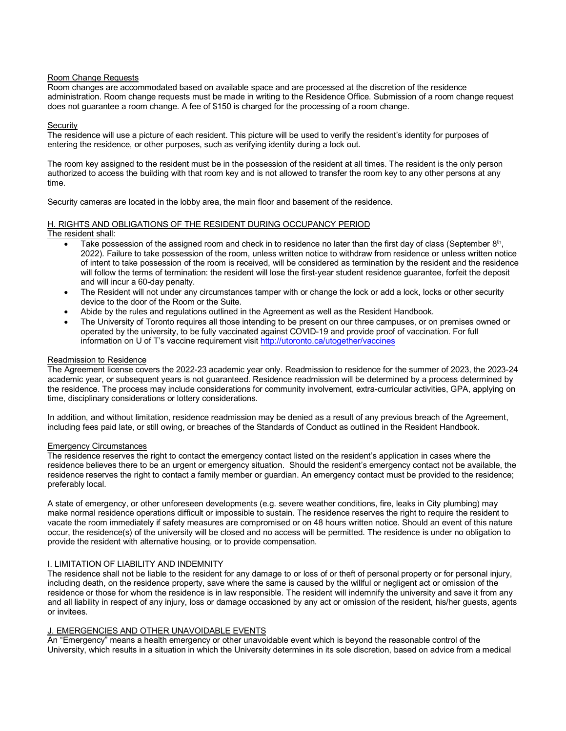## Room Change Requests

Room changes are accommodated based on available space and are processed at the discretion of the residence administration. Room change requests must be made in writing to the Residence Office. Submission of a room change request does not guarantee a room change. A fee of \$150 is charged for the processing of a room change.

#### **Security**

The residence will use a picture of each resident. This picture will be used to verify the resident's identity for purposes of entering the residence, or other purposes, such as verifying identity during a lock out.

The room key assigned to the resident must be in the possession of the resident at all times. The resident is the only person authorized to access the building with that room key and is not allowed to transfer the room key to any other persons at any time.

Security cameras are located in the lobby area, the main floor and basement of the residence.

#### H. RIGHTS AND OBLIGATIONS OF THE RESIDENT DURING OCCUPANCY PERIOD The resident shall:

- Take possession of the assigned room and check in to residence no later than the first day of class (September  $8<sup>th</sup>$ , 2022). Failure to take possession of the room, unless written notice to withdraw from residence or unless written notice of intent to take possession of the room is received, will be considered as termination by the resident and the residence will follow the terms of termination: the resident will lose the first-year student residence guarantee, forfeit the deposit and will incur a 60-day penalty.
- The Resident will not under any circumstances tamper with or change the lock or add a lock, locks or other security device to the door of the Room or the Suite.
- Abide by the rules and regulations outlined in the Agreement as well as the Resident Handbook.
- The University of Toronto requires all those intending to be present on our three campuses, or on premises owned or operated by the university, to be fully vaccinated against COVID-19 and provide proof of vaccination. For full information on U of T's vaccine requirement visit http://utoronto.ca/utogether/vaccines

## Readmission to Residence

The Agreement license covers the 2022-23 academic year only. Readmission to residence for the summer of 2023, the 2023-24 academic year, or subsequent years is not guaranteed. Residence readmission will be determined by a process determined by the residence. The process may include considerations for community involvement, extra-curricular activities, GPA, applying on time, disciplinary considerations or lottery considerations.

In addition, and without limitation, residence readmission may be denied as a result of any previous breach of the Agreement, including fees paid late, or still owing, or breaches of the Standards of Conduct as outlined in the Resident Handbook.

#### Emergency Circumstances

The residence reserves the right to contact the emergency contact listed on the resident's application in cases where the residence believes there to be an urgent or emergency situation. Should the resident's emergency contact not be available, the residence reserves the right to contact a family member or guardian. An emergency contact must be provided to the residence; preferably local.

A state of emergency, or other unforeseen developments (e.g. severe weather conditions, fire, leaks in City plumbing) may make normal residence operations difficult or impossible to sustain. The residence reserves the right to require the resident to vacate the room immediately if safety measures are compromised or on 48 hours written notice. Should an event of this nature occur, the residence(s) of the university will be closed and no access will be permitted. The residence is under no obligation to provide the resident with alternative housing, or to provide compensation.

# **I. LIMITATION OF LIABILITY AND INDEMNITY**

The residence shall not be liable to the resident for any damage to or loss of or theft of personal property or for personal injury, including death, on the residence property, save where the same is caused by the willful or negligent act or omission of the residence or those for whom the residence is in law responsible. The resident will indemnify the university and save it from any and all liability in respect of any injury, loss or damage occasioned by any act or omission of the resident, his/her guests, agents or invitees.

# J. EMERGENCIES AND OTHER UNAVOIDABLE EVENTS

An "Emergency" means a health emergency or other unavoidable event which is beyond the reasonable control of the University, which results in a situation in which the University determines in its sole discretion, based on advice from a medical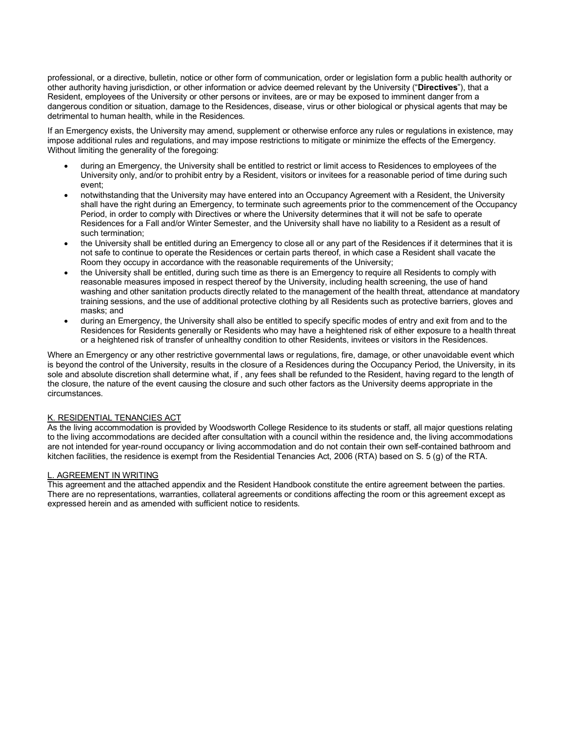professional, or a directive, bulletin, notice or other form of communication, order or legislation form a public health authority or other authority having jurisdiction, or other information or advice deemed relevant by the University ("**Directives**"), that a Resident, employees of the University or other persons or invitees, are or may be exposed to imminent danger from a dangerous condition or situation, damage to the Residences, disease, virus or other biological or physical agents that may be detrimental to human health, while in the Residences.

If an Emergency exists, the University may amend, supplement or otherwise enforce any rules or regulations in existence, may impose additional rules and regulations, and may impose restrictions to mitigate or minimize the effects of the Emergency. Without limiting the generality of the foregoing:

- during an Emergency, the University shall be entitled to restrict or limit access to Residences to employees of the University only, and/or to prohibit entry by a Resident, visitors or invitees for a reasonable period of time during such event;
- notwithstanding that the University may have entered into an Occupancy Agreement with a Resident, the University shall have the right during an Emergency, to terminate such agreements prior to the commencement of the Occupancy Period, in order to comply with Directives or where the University determines that it will not be safe to operate Residences for a Fall and/or Winter Semester, and the University shall have no liability to a Resident as a result of such termination;
- the University shall be entitled during an Emergency to close all or any part of the Residences if it determines that it is not safe to continue to operate the Residences or certain parts thereof, in which case a Resident shall vacate the Room they occupy in accordance with the reasonable requirements of the University;
- the University shall be entitled, during such time as there is an Emergency to require all Residents to comply with reasonable measures imposed in respect thereof by the University, including health screening, the use of hand washing and other sanitation products directly related to the management of the health threat, attendance at mandatory training sessions, and the use of additional protective clothing by all Residents such as protective barriers, gloves and masks; and
- during an Emergency, the University shall also be entitled to specify specific modes of entry and exit from and to the Residences for Residents generally or Residents who may have a heightened risk of either exposure to a health threat or a heightened risk of transfer of unhealthy condition to other Residents, invitees or visitors in the Residences.

Where an Emergency or any other restrictive governmental laws or regulations, fire, damage, or other unavoidable event which is beyond the control of the University, results in the closure of a Residences during the Occupancy Period, the University, in its sole and absolute discretion shall determine what, if , any fees shall be refunded to the Resident, having regard to the length of the closure, the nature of the event causing the closure and such other factors as the University deems appropriate in the circumstances.

# K. RESIDENTIAL TENANCIES ACT

As the living accommodation is provided by Woodsworth College Residence to its students or staff, all major questions relating to the living accommodations are decided after consultation with a council within the residence and, the living accommodations are not intended for year-round occupancy or living accommodation and do not contain their own self-contained bathroom and kitchen facilities, the residence is exempt from the Residential Tenancies Act, 2006 (RTA) based on S. 5 (g) of the RTA.

# L. AGREEMENT IN WRITING

This agreement and the attached appendix and the Resident Handbook constitute the entire agreement between the parties. There are no representations, warranties, collateral agreements or conditions affecting the room or this agreement except as expressed herein and as amended with sufficient notice to residents.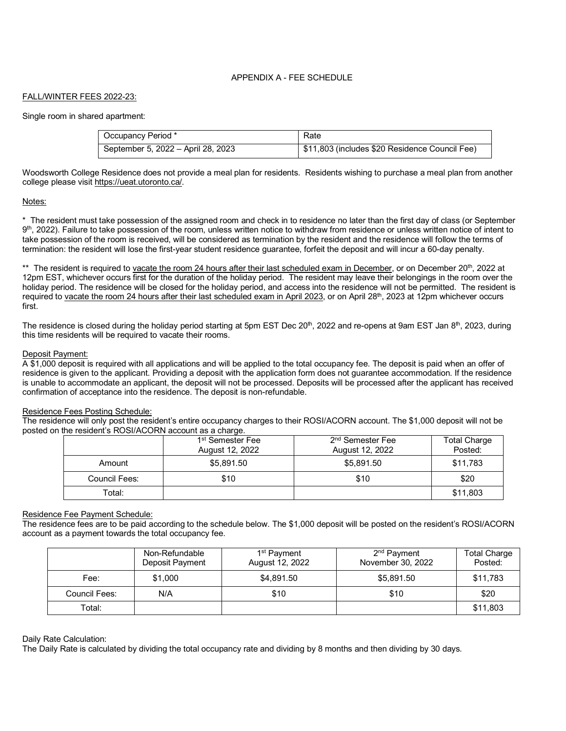# APPENDIX A - FEE SCHEDULE

# FALL/WINTER FEES 2022-23:

Single room in shared apartment:

| Occupancy Period *                 | Rate                                           |
|------------------------------------|------------------------------------------------|
| September 5, 2022 - April 28, 2023 | \$11,803 (includes \$20 Residence Council Fee) |

Woodsworth College Residence does not provide a meal plan for residents. Residents wishing to purchase a meal plan from another college please visit https://ueat.utoronto.ca/.

## Notes:

\* The resident must take possession of the assigned room and check in to residence no later than the first day of class (or September  $9<sup>th</sup>$ , 2022). Failure to take possession of the room, unless written notice to withdraw from residence or unless written notice of intent to take possession of the room is received, will be considered as termination by the resident and the residence will follow the terms of termination: the resident will lose the first-year student residence guarantee, forfeit the deposit and will incur a 60-day penalty.

\*\* The resident is required to vacate the room 24 hours after their last scheduled exam in December, or on December 20<sup>th</sup>, 2022 at 12pm EST, whichever occurs first for the duration of the holiday period. The resident may leave their belongings in the room over the holiday period. The residence will be closed for the holiday period, and access into the residence will not be permitted. The resident is required to vacate the room 24 hours after their last scheduled exam in April 2023, or on April 28<sup>th</sup>, 2023 at 12pm whichever occurs first.

The residence is closed during the holiday period starting at 5pm EST Dec 20<sup>th</sup>, 2022 and re-opens at 9am EST Jan 8<sup>th</sup>, 2023, during this time residents will be required to vacate their rooms.

## Deposit Payment:

A \$1,000 deposit is required with all applications and will be applied to the total occupancy fee. The deposit is paid when an offer of residence is given to the applicant. Providing a deposit with the application form does not guarantee accommodation. If the residence is unable to accommodate an applicant, the deposit will not be processed. Deposits will be processed after the applicant has received confirmation of acceptance into the residence. The deposit is non-refundable.

#### Residence Fees Posting Schedule:

The residence will only post the resident's entire occupancy charges to their ROSI/ACORN account. The \$1,000 deposit will not be posted on the resident's ROSI/ACORN account as a charge.

|               | 1 <sup>st</sup> Semester Fee<br>August 12, 2022 | 2 <sup>nd</sup> Semester Fee<br>August 12, 2022 | <b>Total Charge</b><br>Posted: |
|---------------|-------------------------------------------------|-------------------------------------------------|--------------------------------|
| Amount        | \$5,891.50                                      | \$5.891.50                                      | \$11.783                       |
| Council Fees: | \$10                                            | \$10                                            | \$20                           |
| Total:        |                                                 |                                                 | \$11,803                       |

# Residence Fee Payment Schedule:

The residence fees are to be paid according to the schedule below. The \$1,000 deposit will be posted on the resident's ROSI/ACORN account as a payment towards the total occupancy fee.

|               | Non-Refundable<br>Deposit Payment | 1 <sup>st</sup> Payment<br>August 12, 2022 | 2 <sup>nd</sup> Payment<br>November 30, 2022 | <b>Total Charge</b><br>Posted: |
|---------------|-----------------------------------|--------------------------------------------|----------------------------------------------|--------------------------------|
| Fee:          | \$1,000                           | \$4,891.50                                 | \$5,891.50                                   | \$11,783                       |
| Council Fees: | N/A                               | \$10                                       | \$10                                         | \$20                           |
| Total:        |                                   |                                            |                                              | \$11,803                       |

#### Daily Rate Calculation:

The Daily Rate is calculated by dividing the total occupancy rate and dividing by 8 months and then dividing by 30 days.